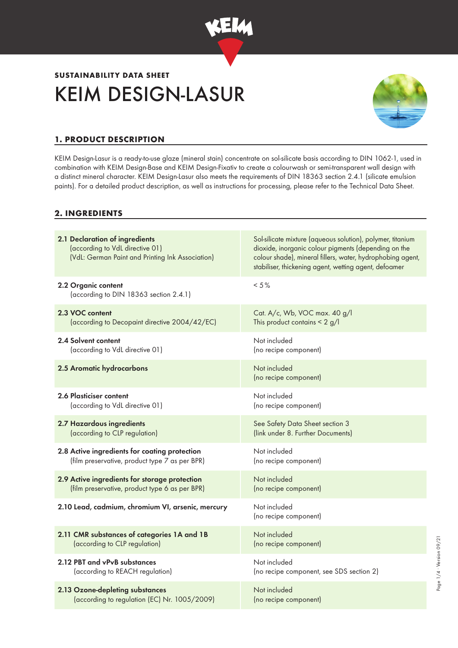

# KEIM DESIGN-LASUR **SUSTAINABILITY DATA SHEET**



# **1. PRODUCT DESCRIPTION**

KEIM Design-Lasur is a ready-to-use glaze (mineral stain) concentrate on sol-silicate basis according to DIN 1062-1, used in combination with KEIM Design-Base and KEIM Design-Fixativ to create a colourwash or semi-transparent wall design with a distinct mineral character. KEIM Design-Lasur also meets the requirements of DIN 18363 section 2.4.1 (silicate emulsion paints). For a detailed product description, as well as instructions for processing, please refer to the Technical Data Sheet.

## **2. INGREDIENTS**

| 2.1 Declaration of ingredients<br>(according to VdL directive 01)<br>(VdL: German Paint and Printing Ink Association) | Sol-silicate mixture (aqueous solution), polymer, titanium<br>dioxide, inorganic colour pigments (depending on the<br>colour shade), mineral fillers, water, hydrophobing agent,<br>stabiliser, thickening agent, wetting agent, defoamer |
|-----------------------------------------------------------------------------------------------------------------------|-------------------------------------------------------------------------------------------------------------------------------------------------------------------------------------------------------------------------------------------|
| 2.2 Organic content<br>(according to DIN 18363 section 2.4.1)                                                         | $< 5\%$                                                                                                                                                                                                                                   |
| 2.3 VOC content                                                                                                       | Cat. A/c, Wb, VOC max. 40 g/l                                                                                                                                                                                                             |
| (according to Decopaint directive 2004/42/EC)                                                                         | This product contains $< 2$ g/l                                                                                                                                                                                                           |
| 2.4 Solvent content                                                                                                   | Not included                                                                                                                                                                                                                              |
| (according to VdL directive 01)                                                                                       | (no recipe component)                                                                                                                                                                                                                     |
| 2.5 Aromatic hydrocarbons                                                                                             | Not included<br>(no recipe component)                                                                                                                                                                                                     |
| 2.6 Plasticiser content                                                                                               | Not included                                                                                                                                                                                                                              |
| (according to VdL directive 01)                                                                                       | (no recipe component)                                                                                                                                                                                                                     |
| 2.7 Hazardous ingredients                                                                                             | See Safety Data Sheet section 3                                                                                                                                                                                                           |
| (according to CLP regulation)                                                                                         | (link under 8. Further Documents)                                                                                                                                                                                                         |
| 2.8 Active ingredients for coating protection                                                                         | Not included                                                                                                                                                                                                                              |
| (film preservative, product type 7 as per BPR)                                                                        | (no recipe component)                                                                                                                                                                                                                     |
| 2.9 Active ingredients for storage protection                                                                         | Not included                                                                                                                                                                                                                              |
| (film preservative, product type 6 as per BPR)                                                                        | (no recipe component)                                                                                                                                                                                                                     |
| 2.10 Lead, cadmium, chromium VI, arsenic, mercury                                                                     | Not included<br>(no recipe component)                                                                                                                                                                                                     |
| 2.11 CMR substances of categories 1A and 1B                                                                           | Not included                                                                                                                                                                                                                              |
| (according to CLP regulation)                                                                                         | (no recipe component)                                                                                                                                                                                                                     |
| 2.12 PBT and vPvB substances                                                                                          | Not included                                                                                                                                                                                                                              |
| (according to REACH regulation)                                                                                       | (no recipe component, see SDS section 2)                                                                                                                                                                                                  |
| 2.13 Ozone-depleting substances                                                                                       | Not included                                                                                                                                                                                                                              |
| (according to regulation (EC) Nr. 1005/2009)                                                                          | (no recipe component)                                                                                                                                                                                                                     |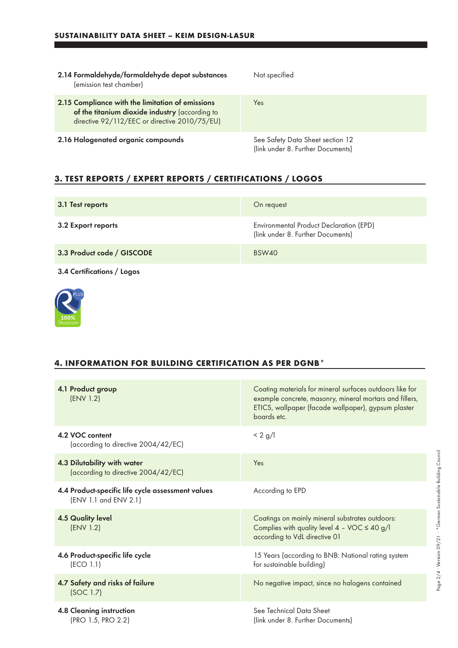| 2.14 Formaldehyde/formaldehyde depot substances<br>(emission test chamber)                                                                          | Not specified                                                         |
|-----------------------------------------------------------------------------------------------------------------------------------------------------|-----------------------------------------------------------------------|
| 2.15 Compliance with the limitation of emissions<br>of the titanium dioxide industry (according to<br>directive 92/112/EEC or directive 2010/75/EU) | Yes                                                                   |
| 2.16 Halogenated organic compounds                                                                                                                  | See Safety Data Sheet section 12<br>(link under 8. Further Documents) |

# **3. TEST REPORTS / EXPERT REPORTS / CERTIFICATIONS / LOGOS**

| 3.1 Test reports           | On request                                                                   |
|----------------------------|------------------------------------------------------------------------------|
| 3.2 Export reports         | Environmental Product Declaration (EPD)<br>(link under 8. Further Documents) |
| 3.3 Product code / GISCODE | BSW40                                                                        |
| 3.4 Certifications / Logos |                                                                              |



#### **4. INFORMATION FOR BUILDING CERTIFICATION AS PER DGNB\***

| 4.1 Product group<br>(ENV 1.2)                                             | Coating materials for mineral surfaces outdoors like for<br>example concrete, masonry, mineral mortars and fillers,<br>ETICS, wallpaper (facade wallpaper), gypsum plaster<br>boards etc. |
|----------------------------------------------------------------------------|-------------------------------------------------------------------------------------------------------------------------------------------------------------------------------------------|
| 4.2 VOC content<br>(according to directive 2004/42/EC)                     | $< 2$ g/l                                                                                                                                                                                 |
| 4.3 Dilutability with water<br>(according to directive 2004/42/EC)         | Yes                                                                                                                                                                                       |
| 4.4 Product-specific life cycle assessment values<br>(ENV 1.1 and ENV 2.1) | According to EPD                                                                                                                                                                          |
| <b>4.5 Quality level</b><br>(ENV 1.2)                                      | Coatings on mainly mineral substrates outdoors:<br>Complies with quality level $4 - \text{VOC} \le 40 \text{ g/l}$<br>according to VdL directive 01                                       |
| 4.6 Product-specific life cycle<br>(ECO 1.1)                               | 15 Years (according to BNB: National rating system<br>for sustainable building)                                                                                                           |
| 4.7 Safety and risks of failure<br>(SOC 1.7)                               | No negative impact, since no halogens contained                                                                                                                                           |
| 4.8 Cleaning instruction<br>(PRO 1.5, PRO 2.2)                             | See Technical Data Sheet<br>(link under 8. Further Documents)                                                                                                                             |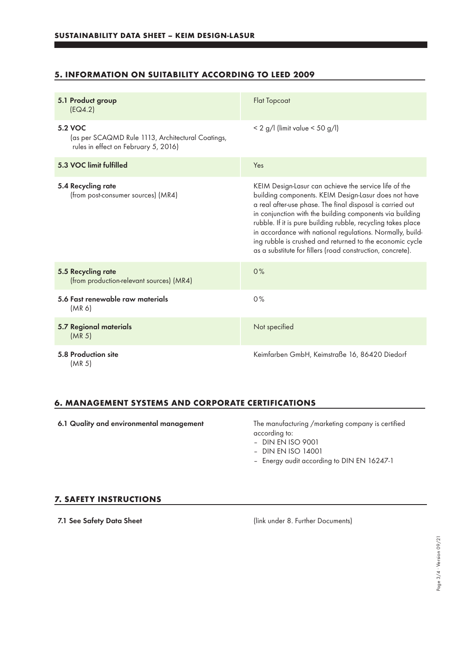## **5. INFORMATION ON SUITABILITY ACCORDING TO LEED 2009**

| 5.1 Product group<br>EG4.2)                                                                          | <b>Flat Topcoat</b>                                                                                                                                                                                                                                                                                                                                                                                                                                                                           |
|------------------------------------------------------------------------------------------------------|-----------------------------------------------------------------------------------------------------------------------------------------------------------------------------------------------------------------------------------------------------------------------------------------------------------------------------------------------------------------------------------------------------------------------------------------------------------------------------------------------|
| 5.2 VOC<br>(as per SCAQMD Rule 1113, Architectural Coatings,<br>rules in effect on February 5, 2016) | $< 2$ g/l (limit value $< 50$ g/l)                                                                                                                                                                                                                                                                                                                                                                                                                                                            |
| 5.3 VOC limit fulfilled                                                                              | Yes                                                                                                                                                                                                                                                                                                                                                                                                                                                                                           |
| 5.4 Recycling rate<br>(from post-consumer sources) (MR4)                                             | KEIM Design-Lasur can achieve the service life of the<br>building components. KEIM Design-Lasur does not have<br>a real after-use phase. The final disposal is carried out<br>in conjunction with the building components via building<br>rubble. If it is pure building rubble, recycling takes place<br>in accordance with national regulations. Normally, build-<br>ing rubble is crushed and returned to the economic cycle<br>as a substitute for fillers (road construction, concrete). |
| 5.5 Recycling rate<br>(from production-relevant sources) (MR4)                                       | 0%                                                                                                                                                                                                                                                                                                                                                                                                                                                                                            |
| 5.6 Fast renewable raw materials<br>(MR 6)                                                           | 0%                                                                                                                                                                                                                                                                                                                                                                                                                                                                                            |
| <b>5.7 Regional materials</b><br>(MR <sub>5</sub> )                                                  | Not specified                                                                                                                                                                                                                                                                                                                                                                                                                                                                                 |
| 5.8 Production site<br>(MR 5)                                                                        | Keimfarben GmbH, Keimstraße 16, 86420 Diedorf                                                                                                                                                                                                                                                                                                                                                                                                                                                 |

### **6. MANAGEMENT SYSTEMS AND CORPORATE CERTIFICATIONS**

6.1 Quality and environmental management The manufacturing /marketing company is certified

according to:

– DIN EN ISO 9001

- DIN EN ISO 14001
- Energy audit according to DIN EN 16247-1

#### **7. SAFETY INSTRUCTIONS**

7.1 See Safety Data Sheet (link under 8. Further Documents)